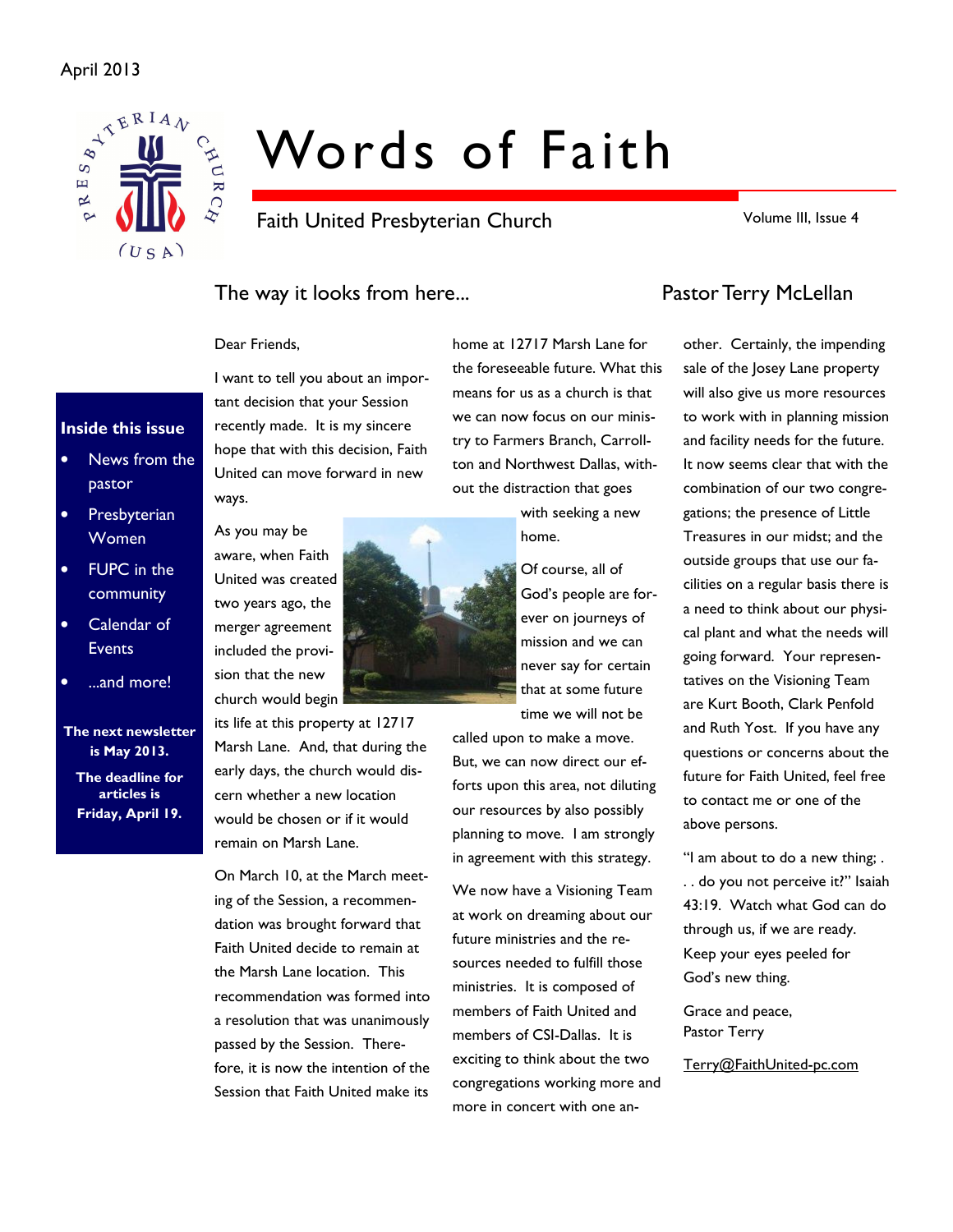### April 2013



# Words of Faith

Faith United Presbyterian Church

Volume III, Issue 4

## The way it looks from here... The way it looks from here...

I want to tell you about an important decision that your Session recently made. It is my sincere hope that with this decision, Faith United can move forward in new

#### Dear Friends,

ways.

### Inside this issue

- News from the pastor
- Presbyterian Women
- FUPC in the community
- Calendar of Events
- ...and more!

The next newsletter is May 2013.

The deadline for articles is Friday, April 19.

As you may be aware, when Faith United was created two years ago, the merger agreement included the provision that the new church would begin

its life at this property at 12717 Marsh Lane. And, that during the early days, the church would discern whether a new location would be chosen or if it would remain on Marsh Lane.

On March 10, at the March meeting of the Session, a recommendation was brought forward that Faith United decide to remain at the Marsh Lane location. This recommendation was formed into a resolution that was unanimously passed by the Session. Therefore, it is now the intention of the Session that Faith United make its

home at 12717 Marsh Lane for the foreseeable future. What this means for us as a church is that we can now focus on our ministry to Farmers Branch, Carrollton and Northwest Dallas, without the distraction that goes

> with seeking a new home.

Of course, all of God's people are forever on journeys of mission and we can never say for certain that at some future time we will not be

called upon to make a move. But, we can now direct our efforts upon this area, not diluting our resources by also possibly planning to move. I am strongly in agreement with this strategy.

We now have a Visioning Team at work on dreaming about our future ministries and the resources needed to fulfill those ministries. It is composed of members of Faith United and members of CSI-Dallas. It is exciting to think about the two congregations working more and more in concert with one an-

other. Certainly, the impending sale of the Josey Lane property will also give us more resources to work with in planning mission and facility needs for the future. It now seems clear that with the combination of our two congregations; the presence of Little Treasures in our midst; and the outside groups that use our facilities on a regular basis there is a need to think about our physical plant and what the needs will going forward. Your representatives on the Visioning Team are Kurt Booth, Clark Penfold and Ruth Yost. If you have any questions or concerns about the future for Faith United, feel free to contact me or one of the above persons.

"I am about to do a new thing; . . . do you not perceive it?" Isaiah 43:19. Watch what God can do through us, if we are ready. Keep your eyes peeled for God's new thing.

Grace and peace, Pastor Terry

Terry@FaithUnited-pc.com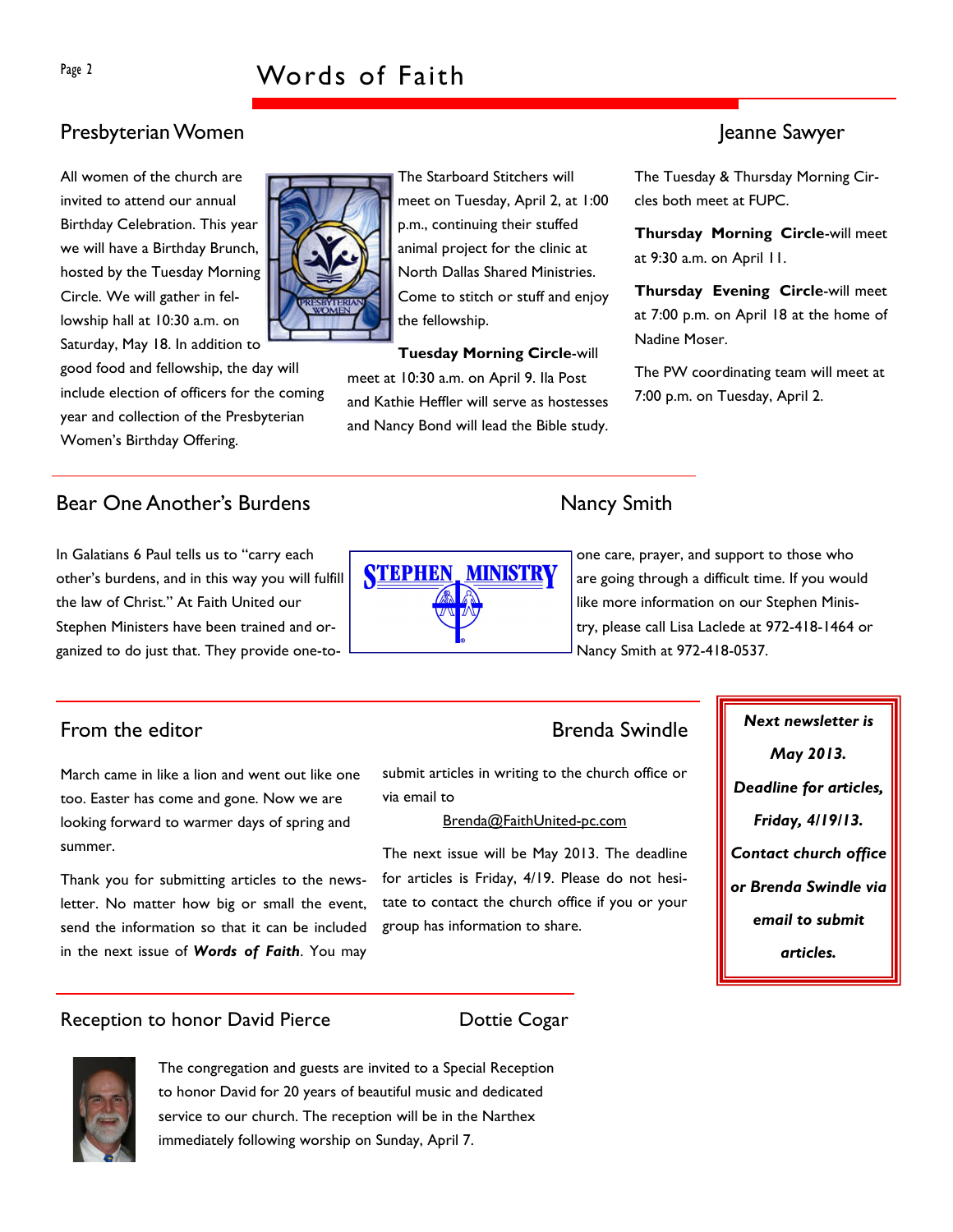# Presbyterian Women Jeanne Sawyer

All women of the church are invited to attend our annual Birthday Celebration. This year we will have a Birthday Brunch, hosted by the Tuesday Morning Circle. We will gather in fellowship hall at 10:30 a.m. on Saturday, May 18. In addition to

good food and fellowship, the day will include election of officers for the coming year and collection of the Presbyterian Women's Birthday Offering.

# Bear One Another's Burdens Nancy Smith

In Galatians 6 Paul tells us to "carry each other's burdens, and in this way you will fulfill the law of Christ." At Faith United our Stephen Ministers have been trained and organized to do just that. They provide one-to-

March came in like a lion and went out like one too. Easter has come and gone. Now we are looking forward to warmer days of spring and summer.

Thank you for submitting articles to the newsletter. No matter how big or small the event, send the information so that it can be included in the next issue of Words of Faith. You may

### Reception to honor David Pierce **Example 20 Dottie Cogar**

The congregation and guests are invited to a Special Reception to honor David for 20 years of beautiful music and dedicated service to our church. The reception will be in the Narthex immediately following worship on Sunday, April 7.

one care, prayer, and support to those who are going through a difficult time. If you would like more information on our Stephen Ministry, please call Lisa Laclede at 972-418-1464 or Nancy Smith at 972-418-0537.

May 2013.

Deadline for articles,

Friday, 4/19/13.

Contact church office

or Brenda Swindle via

email to submit

articles.

# From the editor **Example 2018** Section 2.1 The Brenda Swindle **Next newsletter is**

submit articles in writing to the church office or via email to

#### Brenda@FaithUnited-pc.com

The next issue will be May 2013. The deadline for articles is Friday, 4/19. Please do not hesitate to contact the church office if you or your group has information to share.

The Tuesday & Thursday Morning Circles both meet at FUPC.

Thursday Morning Circle-will meet at 9:30 a.m. on April 11.

Thursday Evening Circle-will meet at 7:00 p.m. on April 18 at the home of Nadine Moser.

The PW coordinating team will meet at 7:00 p.m. on Tuesday, April 2.







the fellowship.

meet at 10:30 a.m. on April 9. Ila Post and Kathie Heffler will serve as hostesses and Nancy Bond will lead the Bible study.

The Starboard Stitchers will meet on Tuesday, April 2, at 1:00 p.m., continuing their stuffed animal project for the clinic at North Dallas Shared Ministries. Come to stitch or stuff and enjoy

Tuesday Morning Circle-will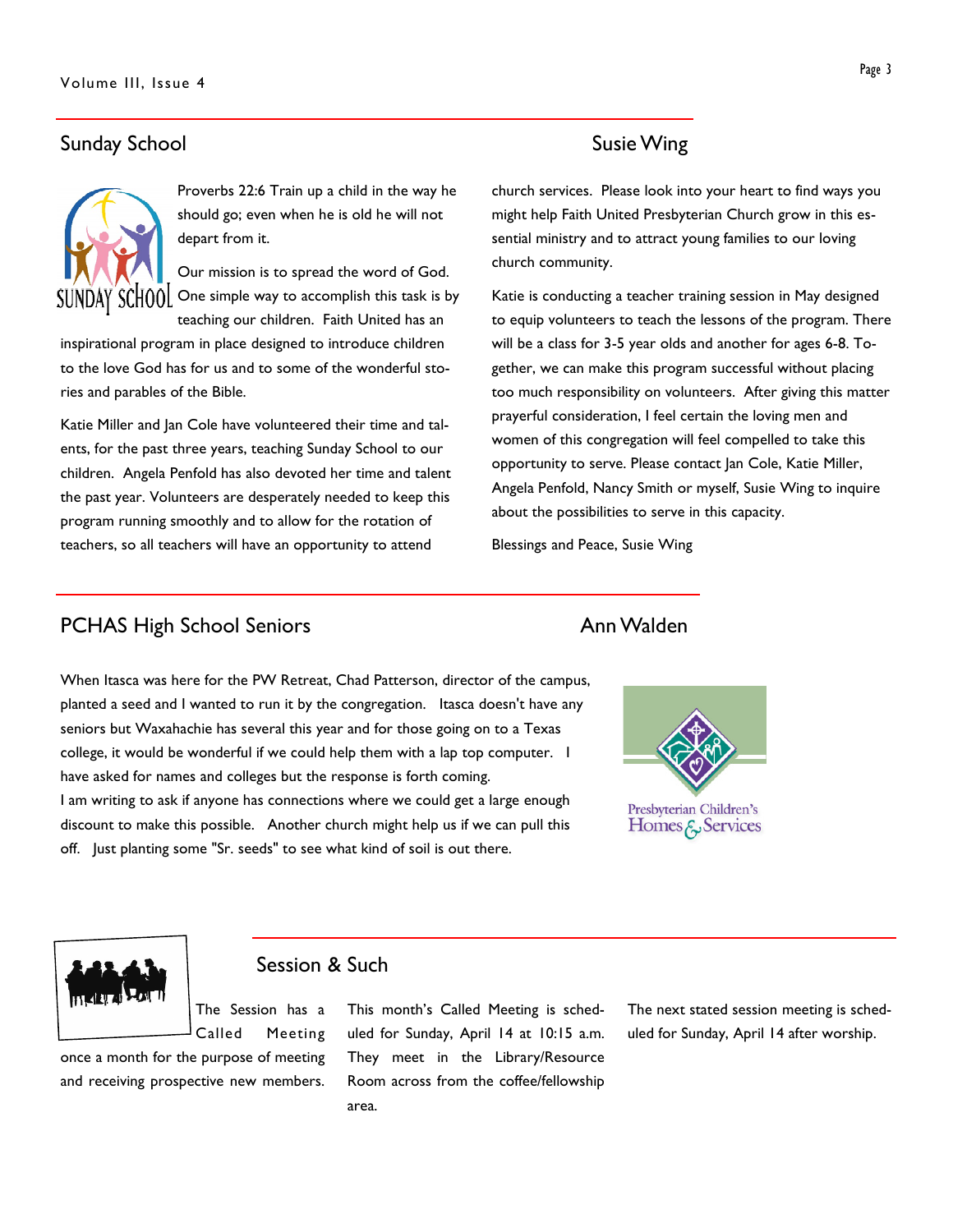# Sunday School and Susie Wing



Proverbs 22:6 Train up a child in the way he should go; even when he is old he will not depart from it.

Our mission is to spread the word of God. SUNDAY SCHOOL One simple way to accomplish this task is by teaching our children. Faith United has an

inspirational program in place designed to introduce children to the love God has for us and to some of the wonderful stories and parables of the Bible.

Katie Miller and Jan Cole have volunteered their time and talents, for the past three years, teaching Sunday School to our children. Angela Penfold has also devoted her time and talent the past year. Volunteers are desperately needed to keep this program running smoothly and to allow for the rotation of teachers, so all teachers will have an opportunity to attend

church services. Please look into your heart to find ways you might help Faith United Presbyterian Church grow in this essential ministry and to attract young families to our loving church community.

Katie is conducting a teacher training session in May designed to equip volunteers to teach the lessons of the program. There will be a class for 3-5 year olds and another for ages 6-8. Together, we can make this program successful without placing too much responsibility on volunteers. After giving this matter prayerful consideration, I feel certain the loving men and women of this congregation will feel compelled to take this opportunity to serve. Please contact Jan Cole, Katie Miller, Angela Penfold, Nancy Smith or myself, Susie Wing to inquire about the possibilities to serve in this capacity.

Blessings and Peace, Susie Wing

# PCHAS High School Seniors **Ann Walden**

When Itasca was here for the PW Retreat, Chad Patterson, director of the campus, planted a seed and I wanted to run it by the congregation. Itasca doesn't have any seniors but Waxahachie has several this year and for those going on to a Texas college, it would be wonderful if we could help them with a lap top computer. I have asked for names and colleges but the response is forth coming. I am writing to ask if anyone has connections where we could get a large enough discount to make this possible. Another church might help us if we can pull this off. Just planting some "Sr. seeds" to see what kind of soil is out there.





# Session & Such

The Session has a Called Meeting

once a month for the purpose of meeting and receiving prospective new members.

This month's Called Meeting is scheduled for Sunday, April 14 at 10:15 a.m. They meet in the Library/Resource Room across from the coffee/fellowship area.

The next stated session meeting is scheduled for Sunday, April 14 after worship.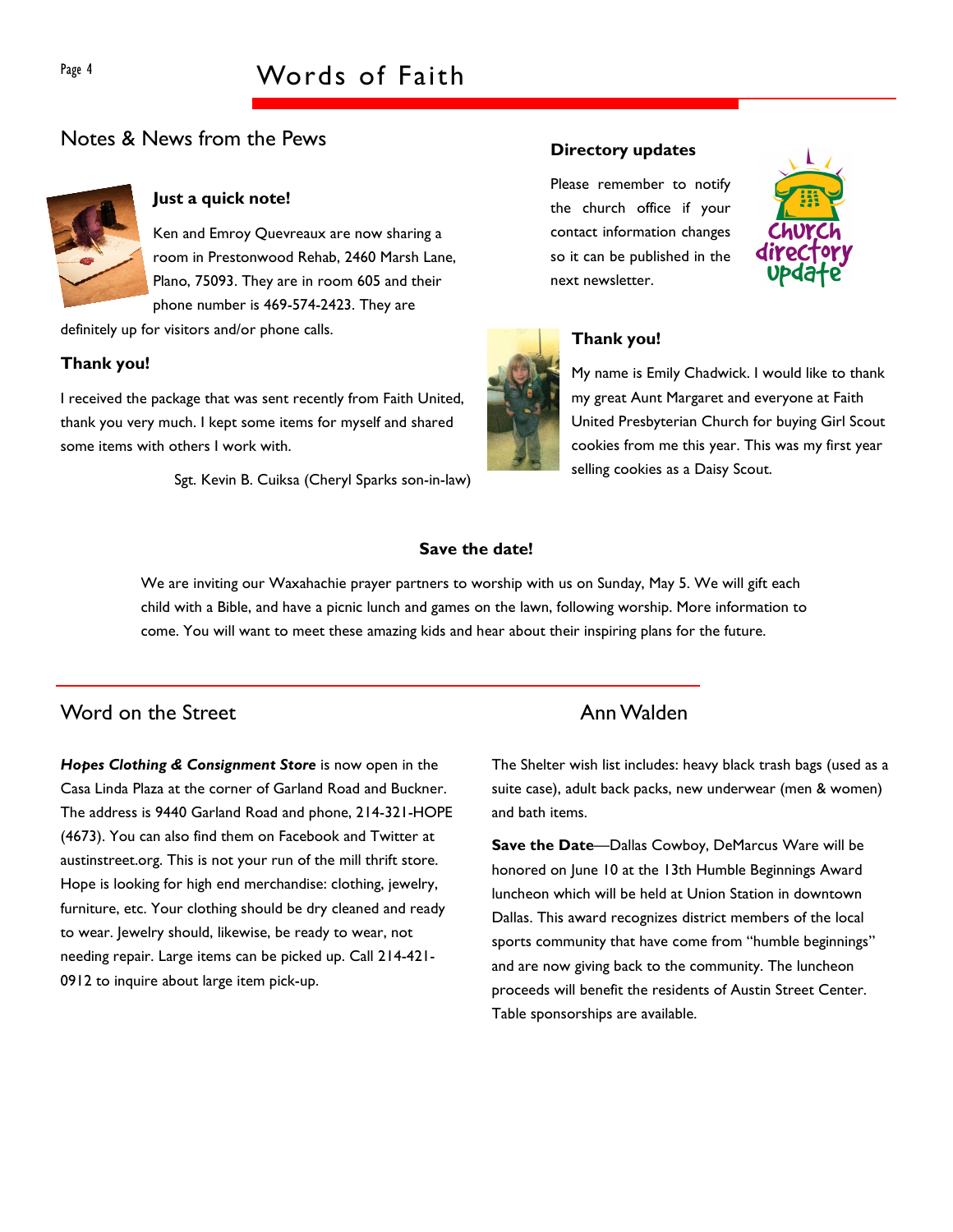# Notes & News from the Pews



### Just a quick note!

Ken and Emroy Quevreaux are now sharing a room in Prestonwood Rehab, 2460 Marsh Lane, Plano, 75093. They are in room 605 and their phone number is 469-574-2423. They are

definitely up for visitors and/or phone calls.

### Thank you!

I received the package that was sent recently from Faith United, thank you very much. I kept some items for myself and shared some items with others I work with.

Sgt. Kevin B. Cuiksa (Cheryl Sparks son-in-law)

#### Directory updates

Please remember to notify the church office if your contact information changes so it can be published in the next newsletter.





# Thank you!

My name is Emily Chadwick. I would like to thank my great Aunt Margaret and everyone at Faith United Presbyterian Church for buying Girl Scout cookies from me this year. This was my first year selling cookies as a Daisy Scout.

### Save the date!

We are inviting our Waxahachie prayer partners to worship with us on Sunday, May 5. We will gift each child with a Bible, and have a picnic lunch and games on the lawn, following worship. More information to come. You will want to meet these amazing kids and hear about their inspiring plans for the future.

# Word on the Street **Annual Mateural** Annual Mateur Annual Annual Annual Annual Annual Annual Annual Annual Annual Annual Annual Annual Annual Annual Annual Annual Annual Annual Annual Annual Annual Annual Annual Annual Ann

Hopes Clothing & Consignment Store is now open in the Casa Linda Plaza at the corner of Garland Road and Buckner. The address is 9440 Garland Road and phone, 214-321-HOPE (4673). You can also find them on Facebook and Twitter at austinstreet.org. This is not your run of the mill thrift store. Hope is looking for high end merchandise: clothing, jewelry, furniture, etc. Your clothing should be dry cleaned and ready to wear. Jewelry should, likewise, be ready to wear, not needing repair. Large items can be picked up. Call 214-421- 0912 to inquire about large item pick-up.

The Shelter wish list includes: heavy black trash bags (used as a suite case), adult back packs, new underwear (men & women) and bath items.

Save the Date—Dallas Cowboy, DeMarcus Ware will be honored on June 10 at the 13th Humble Beginnings Award luncheon which will be held at Union Station in downtown Dallas. This award recognizes district members of the local sports community that have come from "humble beginnings" and are now giving back to the community. The luncheon proceeds will benefit the residents of Austin Street Center. Table sponsorships are available.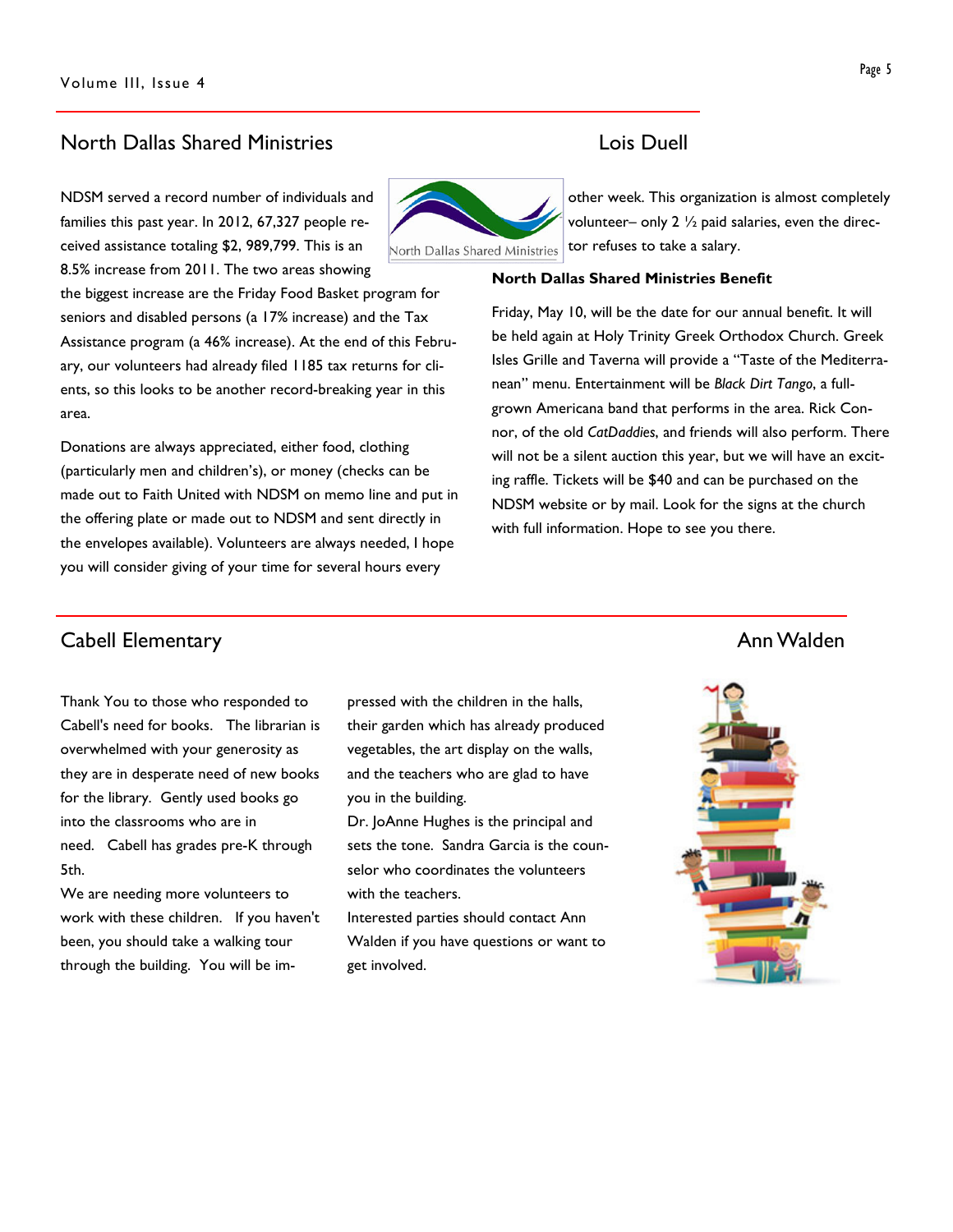### North Dallas Shared Ministries Lois Duell

NDSM served a record number of individuals and families this past year. In 2012, 67,327 people received assistance totaling \$2, 989,799. This is an 8.5% increase from 2011. The two areas showing

the biggest increase are the Friday Food Basket program for seniors and disabled persons (a 17% increase) and the Tax Assistance program (a 46% increase). At the end of this February, our volunteers had already filed 1185 tax returns for clients, so this looks to be another record-breaking year in this area.

Donations are always appreciated, either food, clothing (particularly men and children's), or money (checks can be made out to Faith United with NDSM on memo line and put in the offering plate or made out to NDSM and sent directly in the envelopes available). Volunteers are always needed, I hope you will consider giving of your time for several hours every

other week. This organization is almost completely volunteer– only  $2 \frac{1}{2}$  paid salaries, even the director refuses to take a salary. North Dallas Shared Ministries

#### North Dallas Shared Ministries Benefit

Friday, May 10, will be the date for our annual benefit. It will be held again at Holy Trinity Greek Orthodox Church. Greek Isles Grille and Taverna will provide a "Taste of the Mediterranean" menu. Entertainment will be Black Dirt Tango, a fullgrown Americana band that performs in the area. Rick Connor, of the old CatDaddies, and friends will also perform. There will not be a silent auction this year, but we will have an exciting raffle. Tickets will be \$40 and can be purchased on the NDSM website or by mail. Look for the signs at the church with full information. Hope to see you there.

# **Cabell Elementary Annual Elementary Annual Elementary Annual Elementary Annual Elementary Annual Elementary Annual Elementary Annual Elementary Annual Elementary Annual Elementary Annual Elementary Annual Elementary Annua**

Thank You to those who responded to Cabell's need for books. The librarian is overwhelmed with your generosity as they are in desperate need of new books for the library. Gently used books go into the classrooms who are in need. Cabell has grades pre-K through 5th.

We are needing more volunteers to work with these children. If you haven't been, you should take a walking tour through the building. You will be impressed with the children in the halls, their garden which has already produced vegetables, the art display on the walls, and the teachers who are glad to have you in the building.

Dr. JoAnne Hughes is the principal and sets the tone. Sandra Garcia is the counselor who coordinates the volunteers with the teachers.

Interested parties should contact Ann Walden if you have questions or want to get involved.

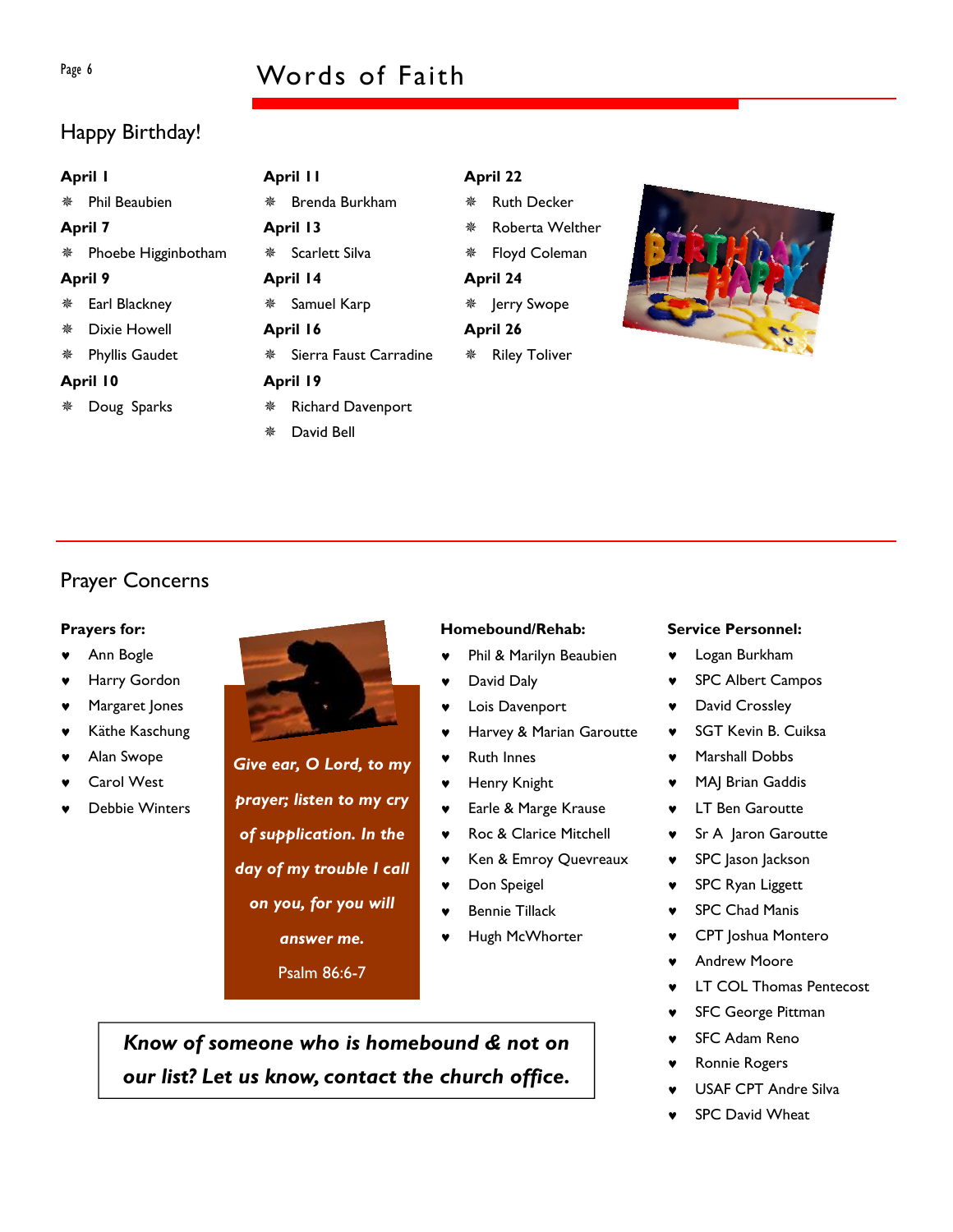# Page 6 Words of Faith

# Happy Birthday!

| April I        |                       | April II |                          |          | April 22             |  |  |
|----------------|-----------------------|----------|--------------------------|----------|----------------------|--|--|
|                | Phil Beaubien         | 楽        | Brenda Burkham           | 豢        | <b>Ruth Decker</b>   |  |  |
| <b>April 7</b> |                       | April 13 |                          | 豢        | Roberta Welther      |  |  |
|                | * Phoebe Higginbotham |          | Scarlett Silva           | 楽        | Floyd Coleman        |  |  |
| <b>April 9</b> |                       | April 14 |                          | April 24 |                      |  |  |
|                | Earl Blackney         | 楽        | Samuel Karp              | ₩.       | Jerry Swope          |  |  |
| 豢              | Dixie Howell          | April 16 |                          | April 26 |                      |  |  |
|                | Phyllis Gaudet        | 楽        | Sierra Faust Carradine   | 楽        | <b>Riley Toliver</b> |  |  |
| April 10       |                       | April 19 |                          |          |                      |  |  |
|                | Doug Sparks           | 楽        | <b>Richard Davenport</b> |          |                      |  |  |
|                |                       | 豢        | David Bell               |          |                      |  |  |

# Prayer Concerns

### Prayers for:

- Ann Bogle
- Harry Gordon
- Margaret Jones
- Käthe Kaschung
- Alan Swope
- Carol West
- Debbie Winters



Give ear, O Lord, to my prayer; listen to my cry of supplication. In the day of my trouble I call on you, for you will answer me.

Psalm 86:6-7

### Homebound/Rehab:

- ♥ Phil & Marilyn Beaubien
- David Daly
- Lois Davenport
- Harvey & Marian Garoutte
- ♥ Ruth Innes
- ♥ Henry Knight
- ♥ Earle & Marge Krause
- ♥ Roc & Clarice Mitchell
- ♥ Ken & Emroy Quevreaux
- ♥ Don Speigel
- Bennie Tillack
- Hugh McWhorter

Know of someone who is homebound & not on our list? Let us know, contact the church office.

#### Service Personnel:

- ♥ Logan Burkham
- ♥ SPC Albert Campos
- David Crossley
- ♥ SGT Kevin B. Cuiksa
- Marshall Dobbs
- ♥ MAJ Brian Gaddis
- **LT Ben Garoutte**
- ♥ Sr A Jaron Garoutte
- ♥ SPC Jason Jackson
- ♥ SPC Ryan Liggett
- ♥ SPC Chad Manis
- CPT Joshua Montero
- **Andrew Moore**
- **LT COL Thomas Pentecost**
- **SFC George Pittman**
- SFC Adam Reno
- Ronnie Rogers
- USAF CPT Andre Silva
- SPC David Wheat

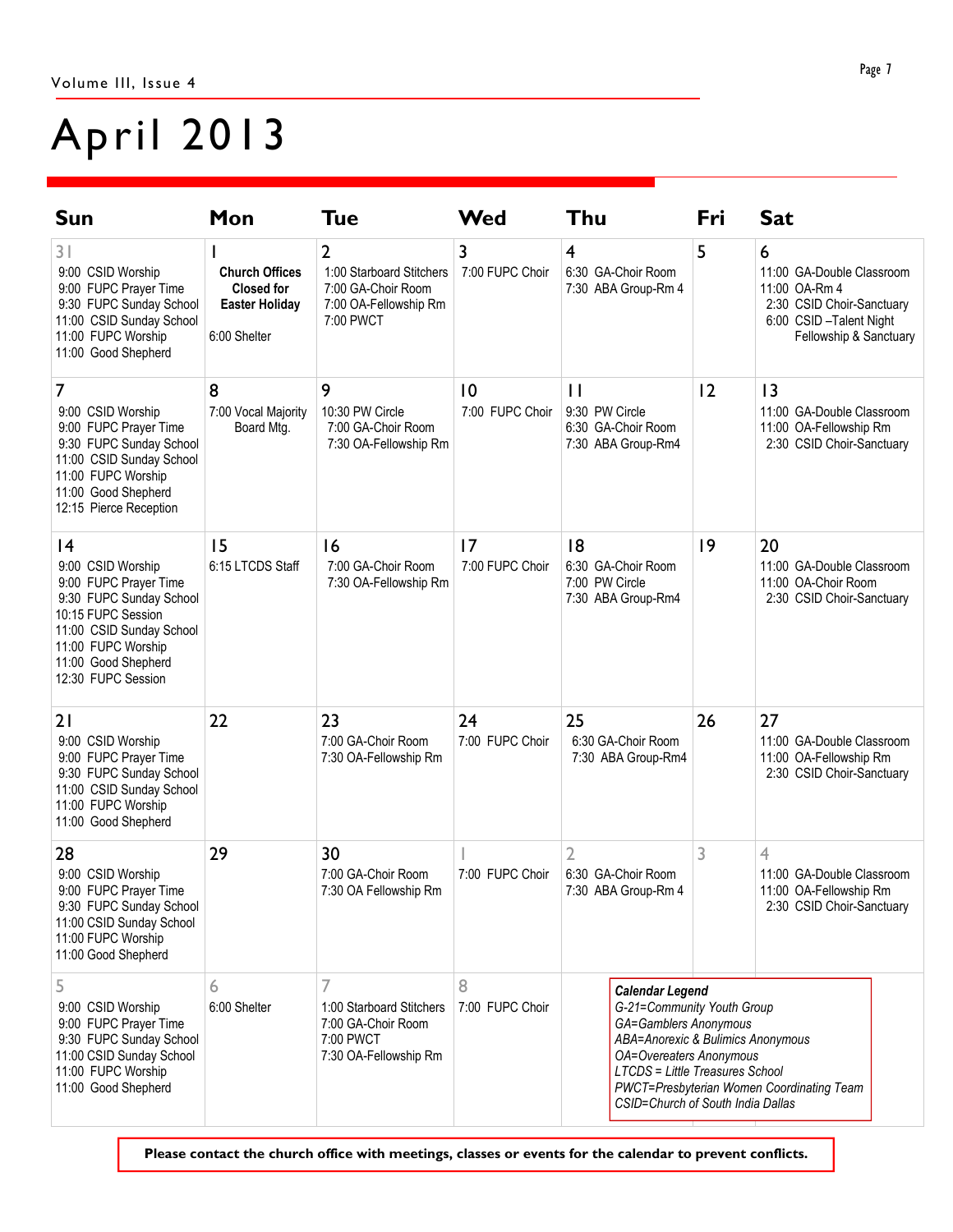# April 2013

| Sun                                                                                                                                                                                             | Mon                                                                                 | <b>Tue</b>                                                                                | <b>Wed</b>            | Thu                                                                                                                                                                                                                          | Fri | <b>Sat</b>                                                                                                                       |
|-------------------------------------------------------------------------------------------------------------------------------------------------------------------------------------------------|-------------------------------------------------------------------------------------|-------------------------------------------------------------------------------------------|-----------------------|------------------------------------------------------------------------------------------------------------------------------------------------------------------------------------------------------------------------------|-----|----------------------------------------------------------------------------------------------------------------------------------|
| 31<br>9:00 CSID Worship<br>9:00 FUPC Prayer Time<br>9:30 FUPC Sunday School<br>11:00 CSID Sunday School<br>11:00 FUPC Worship<br>11:00 Good Shepherd                                            | <b>Church Offices</b><br><b>Closed for</b><br><b>Easter Holiday</b><br>6:00 Shelter | 2<br>1:00 Starboard Stitchers<br>7:00 GA-Choir Room<br>7:00 OA-Fellowship Rm<br>7:00 PWCT | 3<br>7:00 FUPC Choir  | 4<br>6:30 GA-Choir Room<br>7:30 ABA Group-Rm 4                                                                                                                                                                               | 5   | 6<br>11:00 GA-Double Classroom<br>11:00 OA-Rm 4<br>2:30 CSID Choir-Sanctuary<br>6:00 CSID-Talent Night<br>Fellowship & Sanctuary |
| 7<br>9:00 CSID Worship<br>9:00 FUPC Prayer Time<br>9:30 FUPC Sunday School<br>11:00 CSID Sunday School<br>11:00 FUPC Worship<br>11:00 Good Shepherd<br>12:15 Pierce Reception                   | 8<br>7:00 Vocal Majority<br>Board Mtg.                                              | 9<br>10:30 PW Circle<br>7:00 GA-Choir Room<br>7:30 OA-Fellowship Rm                       | 10<br>7:00 FUPC Choir | $\mathbf{H}$<br>9:30 PW Circle<br>6:30 GA-Choir Room<br>7:30 ABA Group-Rm4                                                                                                                                                   | 2   | 3<br>11:00 GA-Double Classroom<br>11:00 OA-Fellowship Rm<br>2:30 CSID Choir-Sanctuary                                            |
| 4<br>9:00 CSID Worship<br>9:00 FUPC Prayer Time<br>9:30 FUPC Sunday School<br>10:15 FUPC Session<br>11:00 CSID Sunday School<br>11:00 FUPC Worship<br>11:00 Good Shepherd<br>12:30 FUPC Session | 15<br>6:15 LTCDS Staff                                                              | 16<br>7:00 GA-Choir Room<br>7:30 OA-Fellowship Rm                                         | 17<br>7:00 FUPC Choir | 8<br>6:30 GA-Choir Room<br>7:00 PW Circle<br>7:30 ABA Group-Rm4                                                                                                                                                              | 9   | 20<br>11:00 GA-Double Classroom<br>11:00 OA-Choir Room<br>2:30 CSID Choir-Sanctuary                                              |
| 21<br>9:00 CSID Worship<br>9:00 FUPC Prayer Time<br>9:30 FUPC Sunday School<br>11:00 CSID Sunday School<br>11:00 FUPC Worship<br>11:00 Good Shepherd                                            | 22                                                                                  | 23<br>7:00 GA-Choir Room<br>7:30 OA-Fellowship Rm                                         | 24<br>7:00 FUPC Choir | 25<br>6:30 GA-Choir Room<br>7:30 ABA Group-Rm4                                                                                                                                                                               | 26  | 27<br>11:00 GA-Double Classroom<br>11:00 OA-Fellowship Rm<br>2:30 CSID Choir-Sanctuary                                           |
| 28<br>9:00 CSID Worship<br>9:00 FUPC Prayer Time<br>9:30 FUPC Sunday School<br>11:00 CSID Sunday School<br>11:00 FUPC Worship<br>11:00 Good Shepherd                                            | 29                                                                                  | 30<br>7:00 GA-Choir Room<br>7:30 OA Fellowship Rm                                         | 7:00 FUPC Choir       | $\overline{2}$<br>6:30 GA-Choir Room<br>7:30 ABA Group-Rm 4                                                                                                                                                                  | 3   | 4<br>11:00 GA-Double Classroom<br>11:00 OA-Fellowship Rm<br>2:30 CSID Choir-Sanctuary                                            |
| 5<br>9:00 CSID Worship<br>9:00 FUPC Prayer Time<br>9:30 FUPC Sunday School<br>11:00 CSID Sunday School<br>11:00 FUPC Worship<br>11:00 Good Shepherd                                             | 6<br>6:00 Shelter                                                                   | 7<br>1:00 Starboard Stitchers<br>7:00 GA-Choir Room<br>7:00 PWCT<br>7:30 OA-Fellowship Rm | 8<br>7:00 FUPC Choir  | <b>Calendar Legend</b><br>G-21=Community Youth Group<br>GA=Gamblers Anonymous<br>ABA=Anorexic & Bulimics Anonymous<br><b>OA=Overeaters Anonymous</b><br>LTCDS = Little Treasures School<br>CSID=Church of South India Dallas |     | PWCT=Presbyterian Women Coordinating Team                                                                                        |

Please contact the church office with meetings, classes or events for the calendar to prevent conflicts.